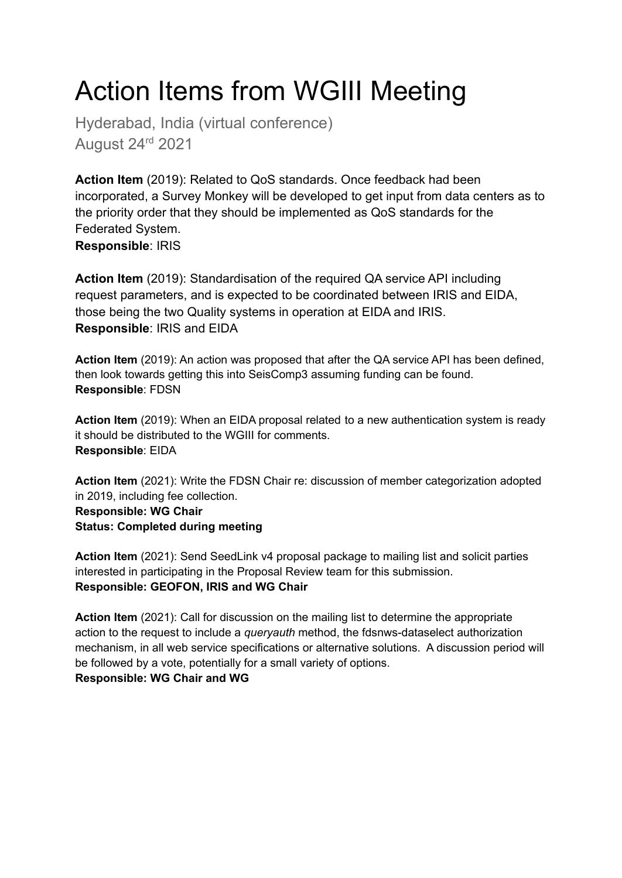## Action Items from WGIII Meeting

Hyderabad, India (virtual conference) August 24rd 2021

**Action Item** (2019): Related to QoS standards. Once feedback had been incorporated, a Survey Monkey will be developed to get input from data centers as to the priority order that they should be implemented as QoS standards for the Federated System. **Responsible**: IRIS

**Action Item** (2019): Standardisation of the required QA service API including request parameters, and is expected to be coordinated between IRIS and EIDA, those being the two Quality systems in operation at EIDA and IRIS. **Responsible**: IRIS and EIDA

**Action Item** (2019): An action was proposed that after the QA service API has been defined, then look towards getting this into SeisComp3 assuming funding can be found. **Responsible**: FDSN

**Action Item** (2019): When an EIDA proposal related to a new authentication system is ready it should be distributed to the WGIII for comments. **Responsible**: EIDA

**Action Item** (2021): Write the FDSN Chair re: discussion of member categorization adopted in 2019, including fee collection. **Responsible: WG Chair Status: Completed during meeting**

**Action Item** (2021): Send SeedLink v4 proposal package to mailing list and solicit parties interested in participating in the Proposal Review team for this submission. **Responsible: GEOFON, IRIS and WG Chair**

**Action Item** (2021): Call for discussion on the mailing list to determine the appropriate action to the request to include a *queryauth* method, the fdsnws-dataselect authorization mechanism, in all web service specifications or alternative solutions. A discussion period will be followed by a vote, potentially for a small variety of options. **Responsible: WG Chair and WG**